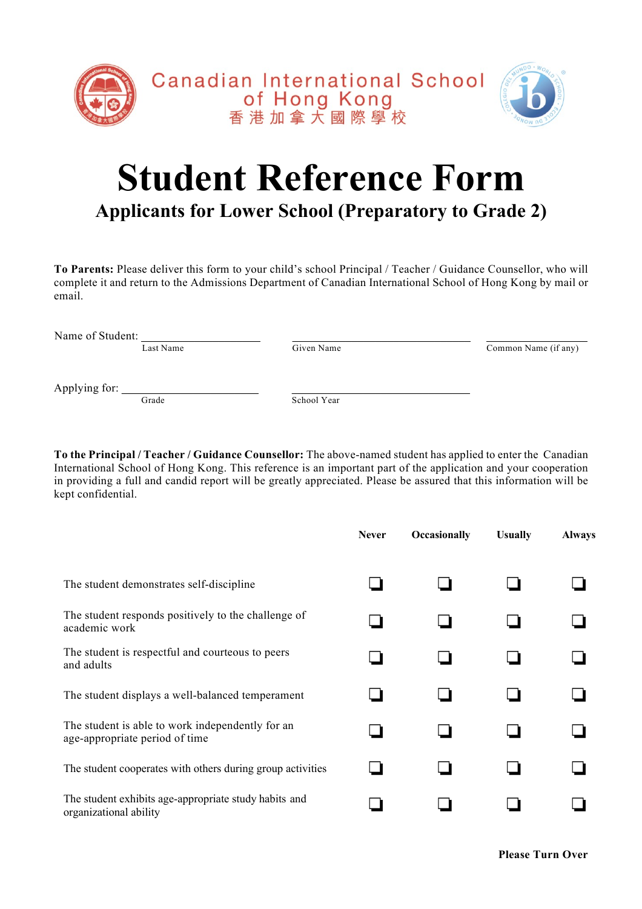

## **Student Reference Form Applicants for Lower School (Preparatory to Grade 2)**

**To Parents:** Please deliver this form to your child's school Principal / Teacher / Guidance Counsellor, who will complete it and return to the Admissions Department of Canadian International School of Hong Kong by mail or email.

Name of Student:

Last Name Given Name Given Name Common Name (if any)

Applying for:  $\frac{\ }{\mathrm{Grade}}$ 

School Year

**To the Principal / Teacher / Guidance Counsellor:** The above-named student has applied to enter the Canadian International School of Hong Kong. This reference is an important part of the application and your cooperation in providing a full and candid report will be greatly appreciated. Please be assured that this information will be kept confidential.

|                                                                                    | <b>Never</b> | Occasionally | <b>Usually</b> | <b>Always</b> |
|------------------------------------------------------------------------------------|--------------|--------------|----------------|---------------|
| The student demonstrates self-discipline                                           |              |              |                |               |
| The student responds positively to the challenge of<br>academic work               |              |              |                |               |
| The student is respectful and courteous to peers<br>and adults                     |              |              |                |               |
| The student displays a well-balanced temperament                                   |              |              |                |               |
| The student is able to work independently for an<br>age-appropriate period of time |              |              |                |               |
| The student cooperates with others during group activities                         |              |              |                |               |
| The student exhibits age-appropriate study habits and<br>organizational ability    |              |              |                |               |